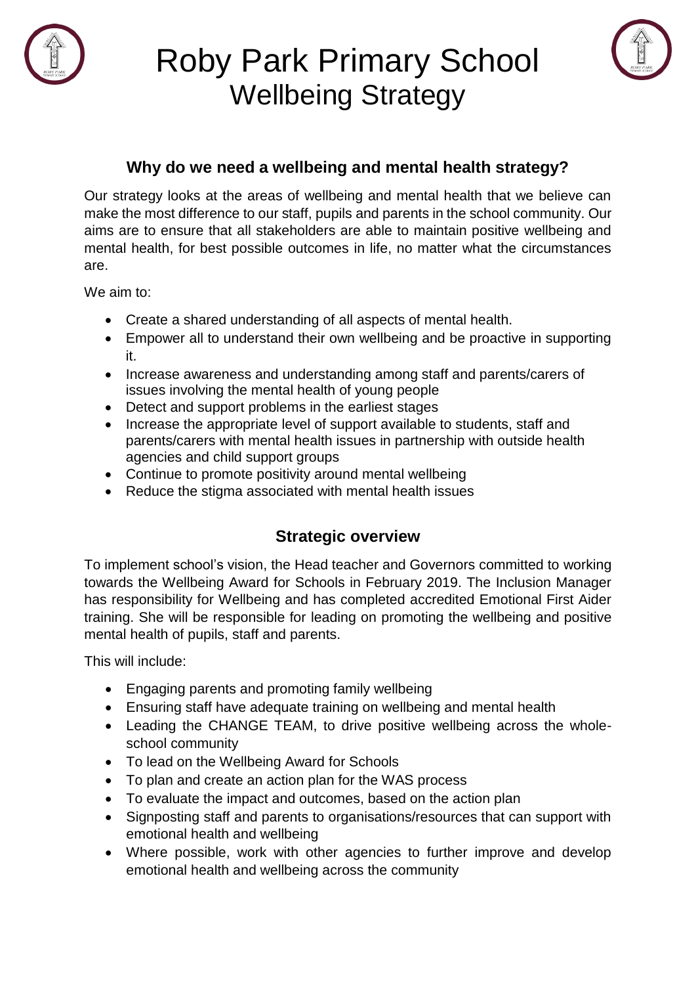



#### **Why do we need a wellbeing and mental health strategy?**

Our strategy looks at the areas of wellbeing and mental health that we believe can make the most difference to our staff, pupils and parents in the school community. Our aims are to ensure that all stakeholders are able to maintain positive wellbeing and mental health, for best possible outcomes in life, no matter what the circumstances are.

We aim to:

- Create a shared understanding of all aspects of mental health.
- Empower all to understand their own wellbeing and be proactive in supporting it.
- Increase awareness and understanding among staff and parents/carers of issues involving the mental health of young people
- Detect and support problems in the earliest stages
- Increase the appropriate level of support available to students, staff and parents/carers with mental health issues in partnership with outside health agencies and child support groups
- Continue to promote positivity around mental wellbeing
- Reduce the stigma associated with mental health issues

#### **Strategic overview**

To implement school's vision, the Head teacher and Governors committed to working towards the Wellbeing Award for Schools in February 2019. The Inclusion Manager has responsibility for Wellbeing and has completed accredited Emotional First Aider training. She will be responsible for leading on promoting the wellbeing and positive mental health of pupils, staff and parents.

This will include:

- Engaging parents and promoting family wellbeing
- Ensuring staff have adequate training on wellbeing and mental health
- Leading the CHANGE TEAM, to drive positive wellbeing across the wholeschool community
- To lead on the Wellbeing Award for Schools
- To plan and create an action plan for the WAS process
- To evaluate the impact and outcomes, based on the action plan
- Signposting staff and parents to organisations/resources that can support with emotional health and wellbeing
- Where possible, work with other agencies to further improve and develop emotional health and wellbeing across the community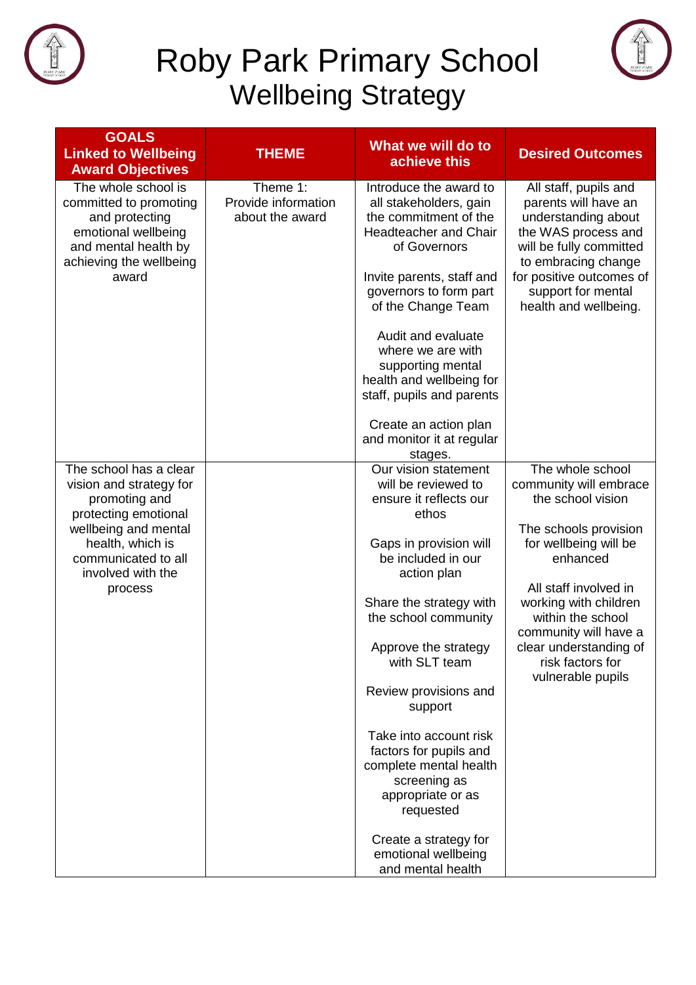



| <b>GOALS</b><br><b>Linked to Wellbeing</b><br><b>Award Objectives</b>                                                                                                                         | <b>THEME</b>                                          | What we will do to<br>achieve this                                                                                                                                                                                                                                                                                                                                                                                                                                                 | <b>Desired Outcomes</b>                                                                                                                                                                                                                                                                          |
|-----------------------------------------------------------------------------------------------------------------------------------------------------------------------------------------------|-------------------------------------------------------|------------------------------------------------------------------------------------------------------------------------------------------------------------------------------------------------------------------------------------------------------------------------------------------------------------------------------------------------------------------------------------------------------------------------------------------------------------------------------------|--------------------------------------------------------------------------------------------------------------------------------------------------------------------------------------------------------------------------------------------------------------------------------------------------|
| The whole school is<br>committed to promoting<br>and protecting<br>emotional wellbeing<br>and mental health by<br>achieving the wellbeing<br>award                                            | Theme $1$ :<br>Provide information<br>about the award | Introduce the award to<br>all stakeholders, gain<br>the commitment of the<br><b>Headteacher and Chair</b><br>of Governors<br>Invite parents, staff and<br>governors to form part<br>of the Change Team<br>Audit and evaluate<br>where we are with<br>supporting mental<br>health and wellbeing for<br>staff, pupils and parents<br>Create an action plan<br>and monitor it at regular<br>stages.                                                                                   | All staff, pupils and<br>parents will have an<br>understanding about<br>the WAS process and<br>will be fully committed<br>to embracing change<br>for positive outcomes of<br>support for mental<br>health and wellbeing.                                                                         |
| The school has a clear<br>vision and strategy for<br>promoting and<br>protecting emotional<br>wellbeing and mental<br>health, which is<br>communicated to all<br>involved with the<br>process |                                                       | Our vision statement<br>will be reviewed to<br>ensure it reflects our<br>ethos<br>Gaps in provision will<br>be included in our<br>action plan<br>Share the strategy with<br>the school community<br>Approve the strategy<br>with SLT team<br>Review provisions and<br>support<br>Take into account risk<br>factors for pupils and<br>complete mental health<br>screening as<br>appropriate or as<br>requested<br>Create a strategy for<br>emotional wellbeing<br>and mental health | The whole school<br>community will embrace<br>the school vision<br>The schools provision<br>for wellbeing will be<br>enhanced<br>All staff involved in<br>working with children<br>within the school<br>community will have a<br>clear understanding of<br>risk factors for<br>vulnerable pupils |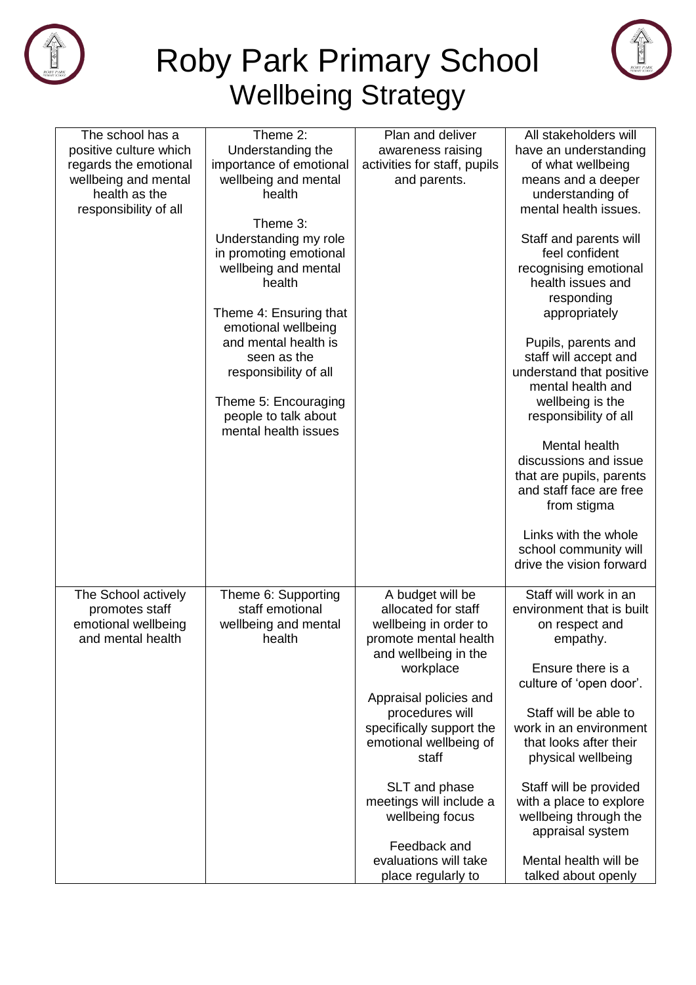



| The school has a       | Theme 2:                                     | Plan and deliver             | All stakeholders will     |
|------------------------|----------------------------------------------|------------------------------|---------------------------|
| positive culture which | Understanding the                            | awareness raising            | have an understanding     |
| regards the emotional  | importance of emotional                      | activities for staff, pupils | of what wellbeing         |
| wellbeing and mental   | wellbeing and mental                         | and parents.                 | means and a deeper        |
| health as the          | health                                       |                              | understanding of          |
| responsibility of all  |                                              |                              | mental health issues.     |
|                        | Theme 3:                                     |                              |                           |
|                        | Understanding my role                        |                              | Staff and parents will    |
|                        | in promoting emotional                       |                              | feel confident            |
|                        | wellbeing and mental                         |                              | recognising emotional     |
|                        | health                                       |                              | health issues and         |
|                        |                                              |                              | responding                |
|                        | Theme 4: Ensuring that                       |                              | appropriately             |
|                        | emotional wellbeing                          |                              |                           |
|                        | and mental health is                         |                              | Pupils, parents and       |
|                        | seen as the                                  |                              | staff will accept and     |
|                        | responsibility of all                        |                              | understand that positive  |
|                        |                                              |                              | mental health and         |
|                        | Theme 5: Encouraging                         |                              | wellbeing is the          |
|                        | people to talk about<br>mental health issues |                              | responsibility of all     |
|                        |                                              |                              | Mental health             |
|                        |                                              |                              | discussions and issue     |
|                        |                                              |                              | that are pupils, parents  |
|                        |                                              |                              | and staff face are free   |
|                        |                                              |                              | from stigma               |
|                        |                                              |                              |                           |
|                        |                                              |                              | Links with the whole      |
|                        |                                              |                              | school community will     |
|                        |                                              |                              | drive the vision forward  |
|                        |                                              |                              |                           |
| The School actively    | Theme 6: Supporting                          | A budget will be             | Staff will work in an     |
| promotes staff         | staff emotional                              | allocated for staff          | environment that is built |
| emotional wellbeing    | wellbeing and mental                         | wellbeing in order to        | on respect and            |
| and mental health      | health                                       | promote mental health        | empathy.                  |
|                        |                                              | and wellbeing in the         |                           |
|                        |                                              | workplace                    | Ensure there is a         |
|                        |                                              |                              | culture of 'open door'.   |
|                        |                                              | Appraisal policies and       |                           |
|                        |                                              | procedures will              | Staff will be able to     |
|                        |                                              | specifically support the     | work in an environment    |
|                        |                                              | emotional wellbeing of       | that looks after their    |
|                        |                                              | staff                        | physical wellbeing        |
|                        |                                              |                              |                           |
|                        |                                              | SLT and phase                | Staff will be provided    |
|                        |                                              | meetings will include a      | with a place to explore   |
|                        |                                              | wellbeing focus              | wellbeing through the     |
|                        |                                              |                              | appraisal system          |
|                        |                                              | Feedback and                 |                           |
|                        |                                              | evaluations will take        | Mental health will be     |
|                        |                                              | place regularly to           | talked about openly       |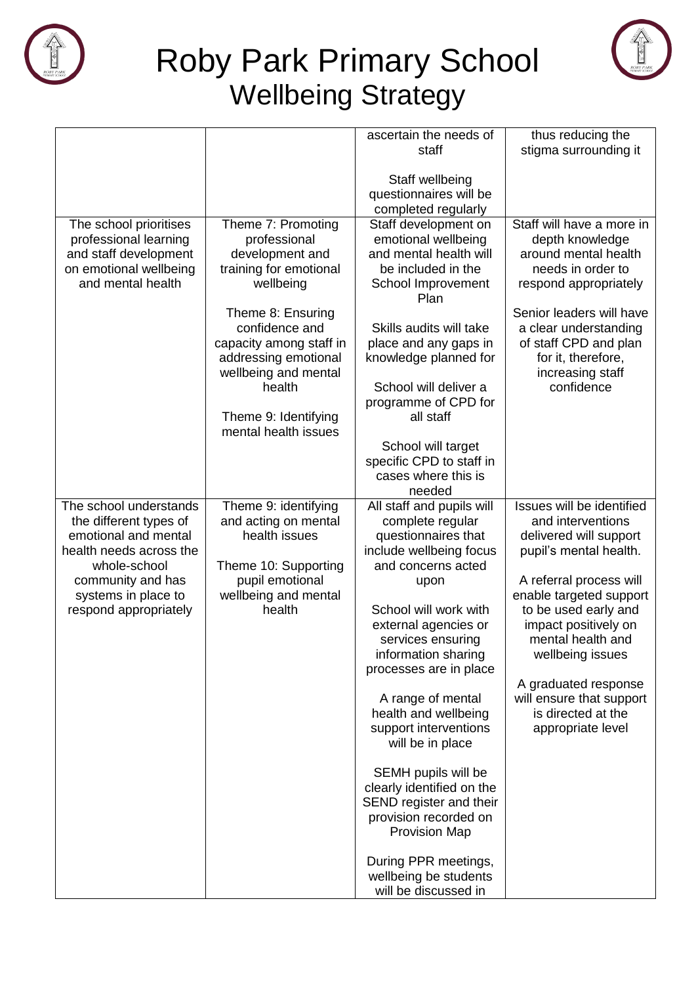



|                         |                         | ascertain the needs of                          | thus reducing the                              |
|-------------------------|-------------------------|-------------------------------------------------|------------------------------------------------|
|                         |                         | staff                                           | stigma surrounding it                          |
|                         |                         |                                                 |                                                |
|                         |                         | Staff wellbeing                                 |                                                |
|                         |                         | questionnaires will be                          |                                                |
|                         |                         | completed regularly                             |                                                |
| The school prioritises  | Theme 7: Promoting      | Staff development on                            | Staff will have a more in                      |
| professional learning   | professional            | emotional wellbeing                             | depth knowledge                                |
| and staff development   | development and         | and mental health will                          | around mental health                           |
| on emotional wellbeing  | training for emotional  | be included in the                              | needs in order to                              |
| and mental health       | wellbeing               | School Improvement<br>Plan                      | respond appropriately                          |
|                         | Theme 8: Ensuring       |                                                 | Senior leaders will have                       |
|                         | confidence and          | Skills audits will take                         | a clear understanding                          |
|                         | capacity among staff in | place and any gaps in                           | of staff CPD and plan                          |
|                         | addressing emotional    | knowledge planned for                           | for it, therefore,                             |
|                         | wellbeing and mental    |                                                 | increasing staff                               |
|                         | health                  | School will deliver a                           | confidence                                     |
|                         |                         | programme of CPD for                            |                                                |
|                         | Theme 9: Identifying    | all staff                                       |                                                |
|                         | mental health issues    |                                                 |                                                |
|                         |                         | School will target                              |                                                |
|                         |                         | specific CPD to staff in<br>cases where this is |                                                |
|                         |                         | needed                                          |                                                |
| The school understands  | Theme 9: identifying    | All staff and pupils will                       | Issues will be identified                      |
| the different types of  | and acting on mental    | complete regular                                | and interventions                              |
| emotional and mental    | health issues           | questionnaires that                             | delivered will support                         |
| health needs across the |                         | include wellbeing focus                         | pupil's mental health.                         |
| whole-school            | Theme 10: Supporting    | and concerns acted                              |                                                |
| community and has       | pupil emotional         | upon                                            | A referral process will                        |
| systems in place to     | wellbeing and mental    |                                                 | enable targeted support                        |
| respond appropriately   | health                  | School will work with                           | to be used early and                           |
|                         |                         | external agencies or                            | impact positively on                           |
|                         |                         | services ensuring                               | mental health and                              |
|                         |                         | information sharing                             | wellbeing issues                               |
|                         |                         | processes are in place                          |                                                |
|                         |                         |                                                 | A graduated response                           |
|                         |                         | A range of mental<br>health and wellbeing       | will ensure that support<br>is directed at the |
|                         |                         | support interventions                           | appropriate level                              |
|                         |                         | will be in place                                |                                                |
|                         |                         |                                                 |                                                |
|                         |                         | SEMH pupils will be                             |                                                |
|                         |                         | clearly identified on the                       |                                                |
|                         |                         | SEND register and their                         |                                                |
|                         |                         | provision recorded on                           |                                                |
|                         |                         | <b>Provision Map</b>                            |                                                |
|                         |                         | During PPR meetings,                            |                                                |
|                         |                         | wellbeing be students                           |                                                |
|                         |                         | will be discussed in                            |                                                |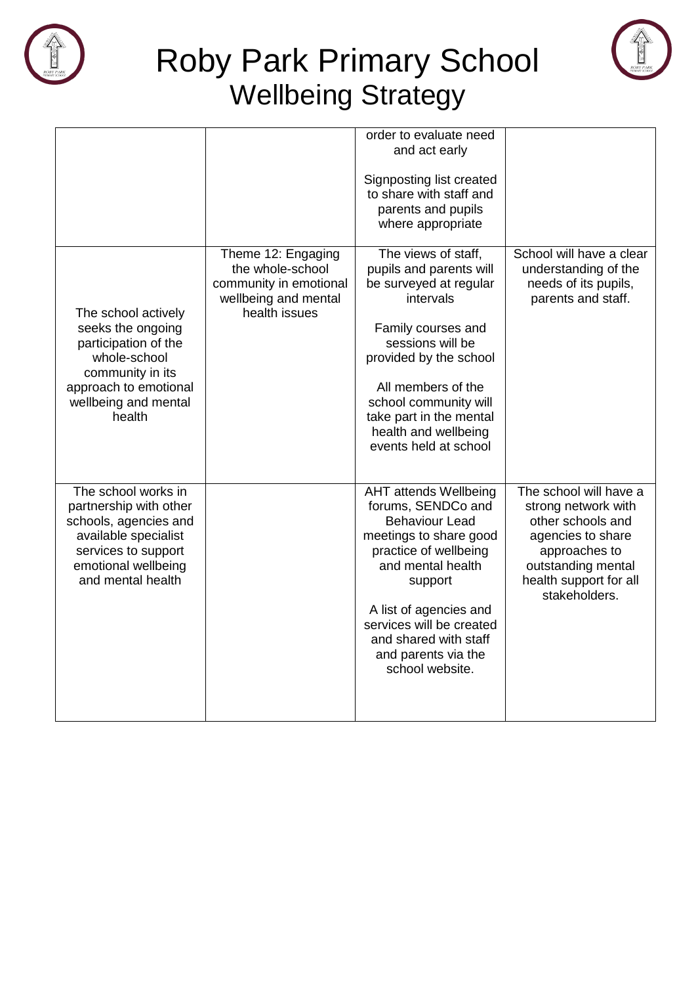



|                                                                                                                                                                   |                                                                                                           | order to evaluate need<br>and act early<br>Signposting list created<br>to share with staff and<br>parents and pupils<br>where appropriate                                                                                                                                               |                                                                                                                                                                           |
|-------------------------------------------------------------------------------------------------------------------------------------------------------------------|-----------------------------------------------------------------------------------------------------------|-----------------------------------------------------------------------------------------------------------------------------------------------------------------------------------------------------------------------------------------------------------------------------------------|---------------------------------------------------------------------------------------------------------------------------------------------------------------------------|
| The school actively<br>seeks the ongoing<br>participation of the<br>whole-school<br>community in its<br>approach to emotional<br>wellbeing and mental<br>health   | Theme 12: Engaging<br>the whole-school<br>community in emotional<br>wellbeing and mental<br>health issues | The views of staff,<br>pupils and parents will<br>be surveyed at regular<br>intervals<br>Family courses and<br>sessions will be<br>provided by the school<br>All members of the<br>school community will<br>take part in the mental<br>health and wellbeing<br>events held at school    | School will have a clear<br>understanding of the<br>needs of its pupils,<br>parents and staff.                                                                            |
| The school works in<br>partnership with other<br>schools, agencies and<br>available specialist<br>services to support<br>emotional wellbeing<br>and mental health |                                                                                                           | <b>AHT attends Wellbeing</b><br>forums, SENDCo and<br><b>Behaviour Lead</b><br>meetings to share good<br>practice of wellbeing<br>and mental health<br>support<br>A list of agencies and<br>services will be created<br>and shared with staff<br>and parents via the<br>school website. | The school will have a<br>strong network with<br>other schools and<br>agencies to share<br>approaches to<br>outstanding mental<br>health support for all<br>stakeholders. |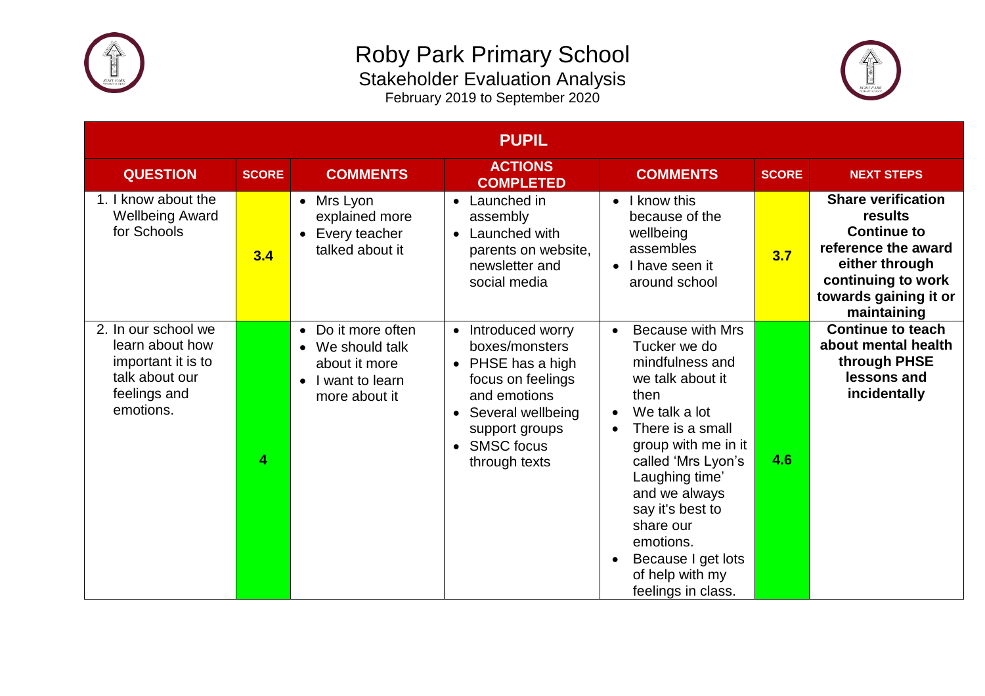



| <b>PUPIL</b>                                                                                                |              |                                                                                                          |                                                                                                                                                                                                   |                                                                                                                                                                                                                                                                                                                                                    |              |                                                                                                                                                                   |
|-------------------------------------------------------------------------------------------------------------|--------------|----------------------------------------------------------------------------------------------------------|---------------------------------------------------------------------------------------------------------------------------------------------------------------------------------------------------|----------------------------------------------------------------------------------------------------------------------------------------------------------------------------------------------------------------------------------------------------------------------------------------------------------------------------------------------------|--------------|-------------------------------------------------------------------------------------------------------------------------------------------------------------------|
| <b>QUESTION</b>                                                                                             | <b>SCORE</b> | <b>COMMENTS</b>                                                                                          | <b>ACTIONS</b><br><b>COMPLETED</b>                                                                                                                                                                | <b>COMMENTS</b>                                                                                                                                                                                                                                                                                                                                    | <b>SCORE</b> | <b>NEXT STEPS</b>                                                                                                                                                 |
| 1. I know about the<br><b>Wellbeing Award</b><br>for Schools                                                | 3.4          | Mrs Lyon<br>$\bullet$<br>explained more<br>Every teacher<br>$\bullet$<br>talked about it                 | Launched in<br>$\bullet$<br>assembly<br>Launched with<br>$\bullet$<br>parents on website,<br>newsletter and<br>social media                                                                       | I know this<br>$\bullet$<br>because of the<br>wellbeing<br>assembles<br>I have seen it<br>$\bullet$<br>around school                                                                                                                                                                                                                               | 3.7          | <b>Share verification</b><br>results<br><b>Continue to</b><br>reference the award<br>either through<br>continuing to work<br>towards gaining it or<br>maintaining |
| 2. In our school we<br>learn about how<br>important it is to<br>talk about our<br>feelings and<br>emotions. | 4            | • Do it more often<br>• We should talk<br>about it more<br>I want to learn<br>$\bullet$<br>more about it | Introduced worry<br>boxes/monsters<br>PHSE has a high<br>focus on feelings<br>and emotions<br>Several wellbeing<br>$\bullet$<br>support groups<br><b>SMSC</b> focus<br>$\bullet$<br>through texts | <b>Because with Mrs</b><br>$\bullet$<br>Tucker we do<br>mindfulness and<br>we talk about it<br>then<br>We talk a lot<br>$\bullet$<br>There is a small<br>group with me in it<br>called 'Mrs Lyon's<br>Laughing time'<br>and we always<br>say it's best to<br>share our<br>emotions.<br>Because I get lots<br>of help with my<br>feelings in class. | 4.6          | <b>Continue to teach</b><br>about mental health<br>through PHSE<br>lessons and<br>incidentally                                                                    |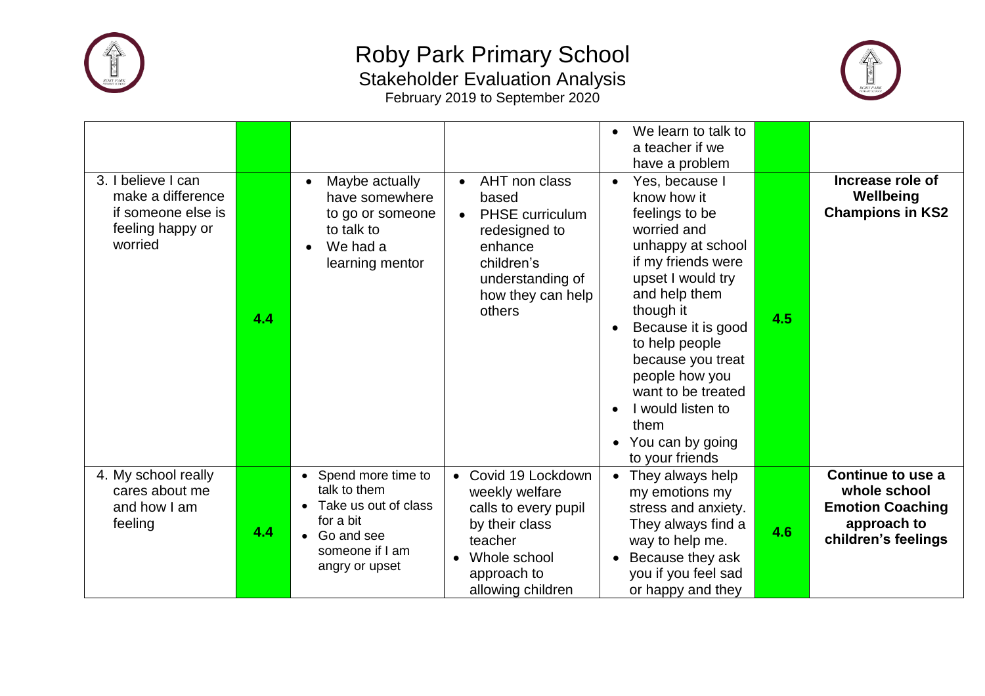



| 3. I believe I can                                                     |     | Maybe actually                                                                                                               | AHT non class<br>$\bullet$                                                                                                                   | We learn to talk to<br>$\bullet$<br>a teacher if we<br>have a problem<br>Yes, because I<br>$\bullet$                                                                                                                                                                                                                |     | Increase role of                                                                                   |
|------------------------------------------------------------------------|-----|------------------------------------------------------------------------------------------------------------------------------|----------------------------------------------------------------------------------------------------------------------------------------------|---------------------------------------------------------------------------------------------------------------------------------------------------------------------------------------------------------------------------------------------------------------------------------------------------------------------|-----|----------------------------------------------------------------------------------------------------|
| make a difference<br>if someone else is<br>feeling happy or<br>worried | 4.4 | have somewhere<br>to go or someone<br>to talk to<br>We had a<br>learning mentor                                              | based<br><b>PHSE</b> curriculum<br>$\bullet$<br>redesigned to<br>enhance<br>children's<br>understanding of<br>how they can help<br>others    | know how it<br>feelings to be<br>worried and<br>unhappy at school<br>if my friends were<br>upset I would try<br>and help them<br>though it<br>Because it is good<br>to help people<br>because you treat<br>people how you<br>want to be treated<br>I would listen to<br>them<br>You can by going<br>to your friends | 4.5 | Wellbeing<br><b>Champions in KS2</b>                                                               |
| 4. My school really<br>cares about me<br>and how I am<br>feeling       | 4.4 | • Spend more time to<br>talk to them<br>Take us out of class<br>for a bit<br>Go and see<br>someone if I am<br>angry or upset | Covid 19 Lockdown<br>weekly welfare<br>calls to every pupil<br>by their class<br>teacher<br>Whole school<br>approach to<br>allowing children | They always help<br>my emotions my<br>stress and anxiety.<br>They always find a<br>way to help me.<br>Because they ask<br>you if you feel sad<br>or happy and they                                                                                                                                                  | 4.6 | Continue to use a<br>whole school<br><b>Emotion Coaching</b><br>approach to<br>children's feelings |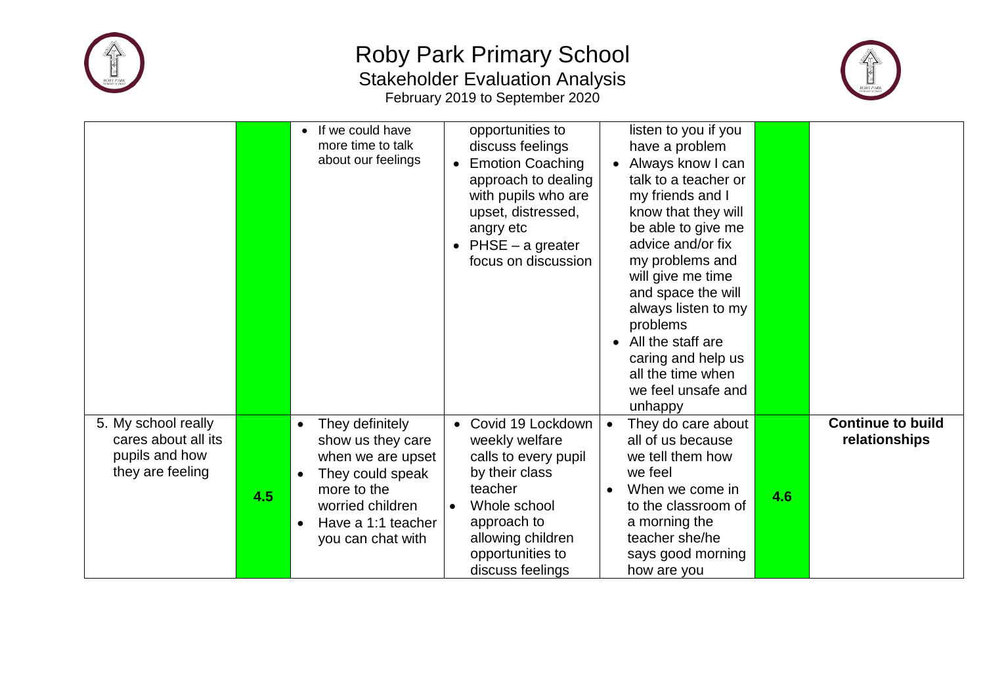



|                                                                                  |     | • If we could have<br>more time to talk<br>about our feelings                                                                                                                                      | opportunities to<br>discuss feelings<br><b>Emotion Coaching</b><br>approach to dealing<br>with pupils who are<br>upset, distressed,<br>angry etc<br>$PHSE - a greater$<br>$\bullet$<br>focus on discussion | listen to you if you<br>have a problem<br>Always know I can<br>$\bullet$<br>talk to a teacher or<br>my friends and I<br>know that they will<br>be able to give me<br>advice and/or fix<br>my problems and<br>will give me time<br>and space the will<br>always listen to my<br>problems<br>All the staff are<br>$\bullet$<br>caring and help us<br>all the time when<br>we feel unsafe and<br>unhappy |     |                                           |
|----------------------------------------------------------------------------------|-----|----------------------------------------------------------------------------------------------------------------------------------------------------------------------------------------------------|------------------------------------------------------------------------------------------------------------------------------------------------------------------------------------------------------------|-------------------------------------------------------------------------------------------------------------------------------------------------------------------------------------------------------------------------------------------------------------------------------------------------------------------------------------------------------------------------------------------------------|-----|-------------------------------------------|
| 5. My school really<br>cares about all its<br>pupils and how<br>they are feeling | 4.5 | They definitely<br>$\bullet$<br>show us they care<br>when we are upset<br>They could speak<br>$\bullet$<br>more to the<br>worried children<br>Have a 1:1 teacher<br>$\bullet$<br>you can chat with | Covid 19 Lockdown<br>$\bullet$<br>weekly welfare<br>calls to every pupil<br>by their class<br>teacher<br>Whole school<br>approach to<br>allowing children<br>opportunities to<br>discuss feelings          | They do care about<br>all of us because<br>we tell them how<br>we feel<br>When we come in<br>to the classroom of<br>a morning the<br>teacher she/he<br>says good morning<br>how are you                                                                                                                                                                                                               | 4.6 | <b>Continue to build</b><br>relationships |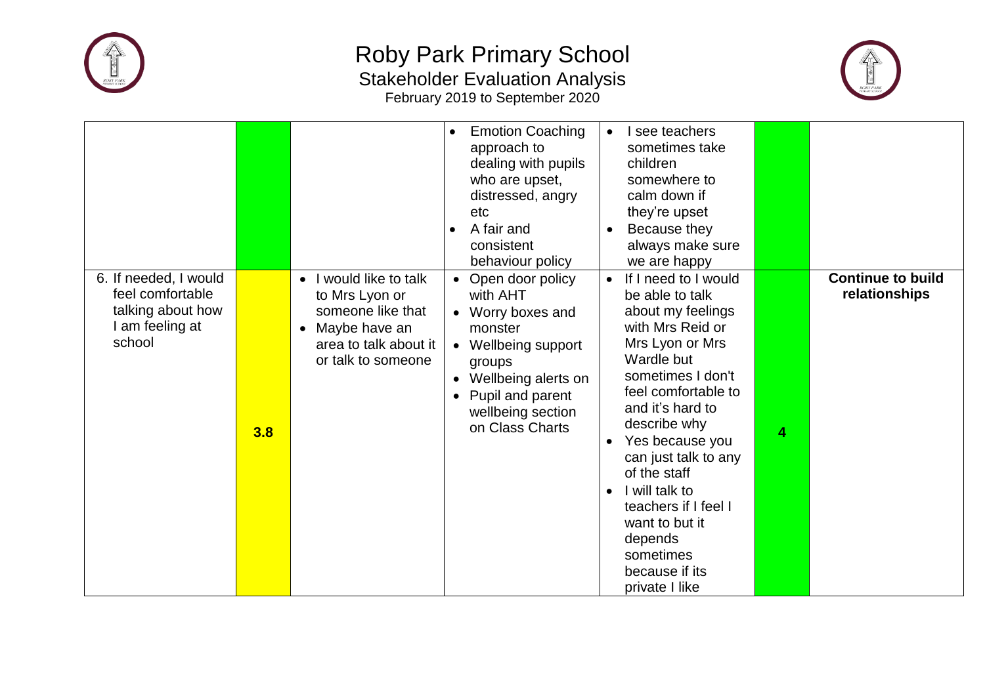



|                                                                                           |     |                                                                                                                                                       | <b>Emotion Coaching</b><br>$\bullet$<br>approach to<br>dealing with pupils<br>who are upset,<br>distressed, angry<br>etc<br>A fair and<br>consistent<br>behaviour policy                                                                      | $\bullet$<br>$\bullet$              | I see teachers<br>sometimes take<br>children<br>somewhere to<br>calm down if<br>they're upset<br>Because they<br>always make sure<br>we are happy                                                                                                                                                                                                                                    |   |                                           |
|-------------------------------------------------------------------------------------------|-----|-------------------------------------------------------------------------------------------------------------------------------------------------------|-----------------------------------------------------------------------------------------------------------------------------------------------------------------------------------------------------------------------------------------------|-------------------------------------|--------------------------------------------------------------------------------------------------------------------------------------------------------------------------------------------------------------------------------------------------------------------------------------------------------------------------------------------------------------------------------------|---|-------------------------------------------|
| 6. If needed, I would<br>feel comfortable<br>talking about how<br>am feeling at<br>school | 3.8 | I would like to talk<br>$\bullet$<br>to Mrs Lyon or<br>someone like that<br>Maybe have an<br>$\bullet$<br>area to talk about it<br>or talk to someone | Open door policy<br>$\bullet$<br>with AHT<br>Worry boxes and<br>$\bullet$<br>monster<br>Wellbeing support<br>$\bullet$<br>groups<br>Wellbeing alerts on<br>$\bullet$<br>Pupil and parent<br>$\bullet$<br>wellbeing section<br>on Class Charts | $\bullet$<br>$\bullet$<br>$\bullet$ | If I need to I would<br>be able to talk<br>about my feelings<br>with Mrs Reid or<br>Mrs Lyon or Mrs<br>Wardle but<br>sometimes I don't<br>feel comfortable to<br>and it's hard to<br>describe why<br>Yes because you<br>can just talk to any<br>of the staff<br>I will talk to<br>teachers if I feel I<br>want to but it<br>depends<br>sometimes<br>because if its<br>private I like | 4 | <b>Continue to build</b><br>relationships |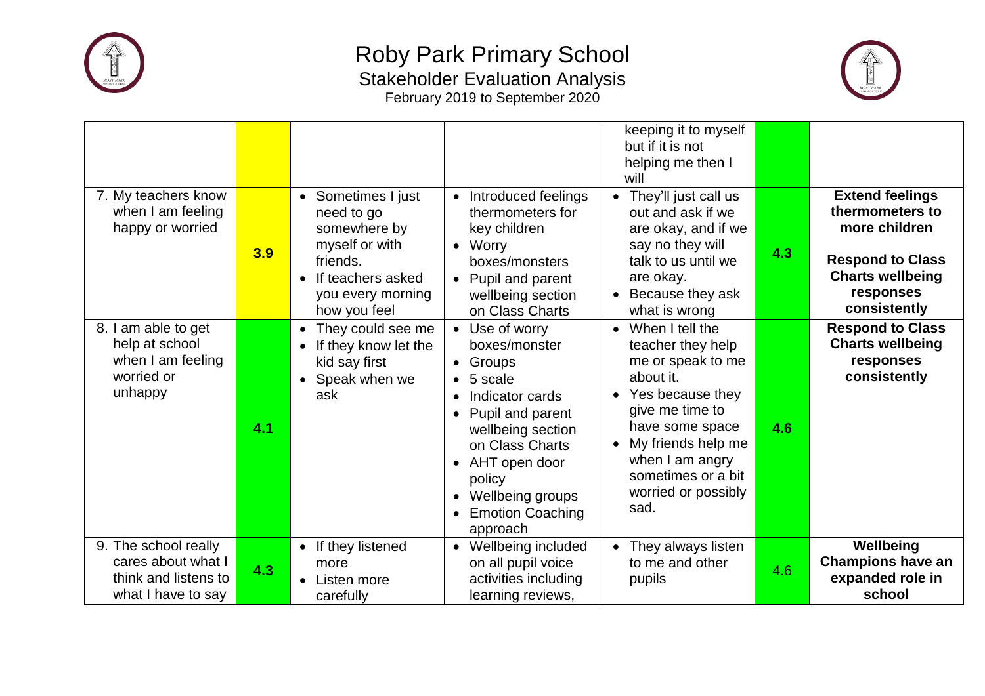



|                                                                                          |     |                                                                                                                                                       |                                                                                                                                                                                                                                                                             | keeping it to myself<br>but if it is not<br>helping me then I<br>will                                                                                                                                                                                                 |     |                                                                                                                                               |
|------------------------------------------------------------------------------------------|-----|-------------------------------------------------------------------------------------------------------------------------------------------------------|-----------------------------------------------------------------------------------------------------------------------------------------------------------------------------------------------------------------------------------------------------------------------------|-----------------------------------------------------------------------------------------------------------------------------------------------------------------------------------------------------------------------------------------------------------------------|-----|-----------------------------------------------------------------------------------------------------------------------------------------------|
| 7. My teachers know<br>when I am feeling<br>happy or worried                             | 3.9 | • Sometimes I just<br>need to go<br>somewhere by<br>myself or with<br>friends.<br>If teachers asked<br>$\bullet$<br>you every morning<br>how you feel | Introduced feelings<br>$\bullet$<br>thermometers for<br>key children<br>Worry<br>$\bullet$<br>boxes/monsters<br>Pupil and parent<br>wellbeing section<br>on Class Charts                                                                                                    | They'll just call us<br>$\bullet$<br>out and ask if we<br>are okay, and if we<br>say no they will<br>talk to us until we<br>are okay.<br>Because they ask<br>$\bullet$<br>what is wrong                                                                               | 4.3 | <b>Extend feelings</b><br>thermometers to<br>more children<br><b>Respond to Class</b><br><b>Charts wellbeing</b><br>responses<br>consistently |
| 8. I am able to get<br>help at school<br>when I am feeling<br>worried or<br>unhappy      | 4.1 | They could see me<br>$\bullet$<br>If they know let the<br>$\bullet$<br>kid say first<br>Speak when we<br>$\bullet$<br>ask                             | Use of worry<br>boxes/monster<br>Groups<br>$\bullet$<br>5 scale<br>Indicator cards<br>$\bullet$<br>Pupil and parent<br>wellbeing section<br>on Class Charts<br>AHT open door<br>$\bullet$<br>policy<br>Wellbeing groups<br>$\bullet$<br><b>Emotion Coaching</b><br>approach | When I tell the<br>$\bullet$<br>teacher they help<br>me or speak to me<br>about it.<br>Yes because they<br>$\bullet$<br>give me time to<br>have some space<br>My friends help me<br>$\bullet$<br>when I am angry<br>sometimes or a bit<br>worried or possibly<br>sad. | 4.6 | <b>Respond to Class</b><br><b>Charts wellbeing</b><br>responses<br>consistently                                                               |
| 9. The school really<br>cares about what I<br>think and listens to<br>what I have to say | 4.3 | • If they listened<br>more<br>Listen more<br>$\bullet$<br>carefully                                                                                   | Wellbeing included<br>$\bullet$<br>on all pupil voice<br>activities including<br>learning reviews,                                                                                                                                                                          | They always listen<br>to me and other<br>pupils                                                                                                                                                                                                                       | 4.6 | Wellbeing<br><b>Champions have an</b><br>expanded role in<br>school                                                                           |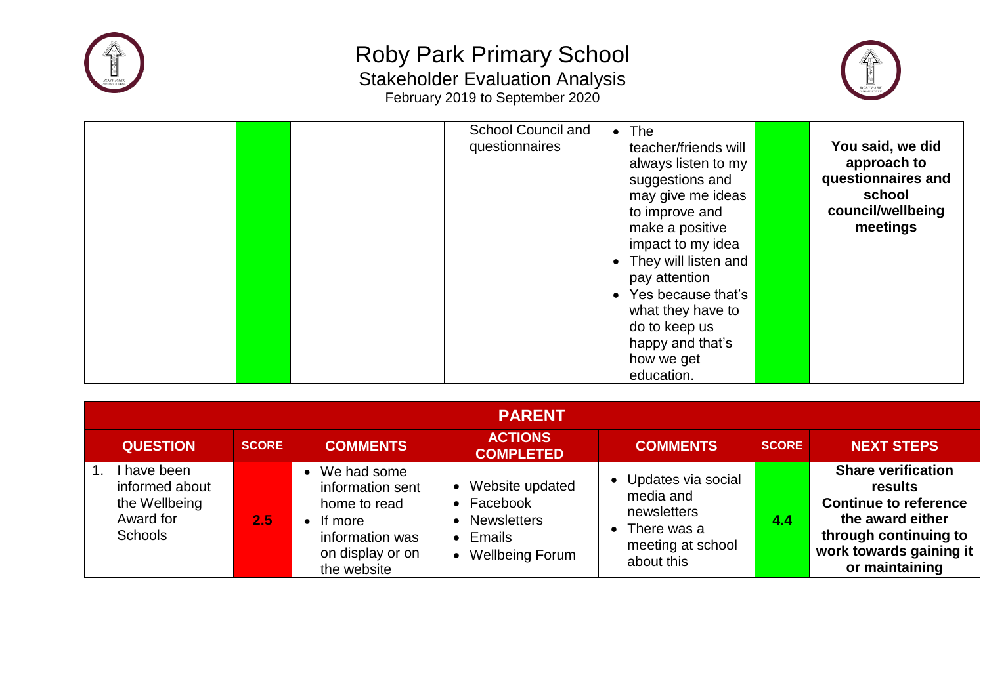



| <b>School Council and</b><br>questionnaires | $\bullet$ The<br>teacher/friends will<br>always listen to my<br>suggestions and<br>may give me ideas<br>to improve and<br>make a positive<br>impact to my idea<br>• They will listen and | You said, we did<br>approach to<br>questionnaires and<br>school<br>council/wellbeing<br>meetings |
|---------------------------------------------|------------------------------------------------------------------------------------------------------------------------------------------------------------------------------------------|--------------------------------------------------------------------------------------------------|
|                                             | pay attention<br>Yes because that's<br>$\bullet$<br>what they have to<br>do to keep us<br>happy and that's<br>how we get<br>education.                                                   |                                                                                                  |

| <b>PARENT</b>                                                               |              |                                                                                                                              |                                                                                       |                                                                                                    |              |                                                                                                                                                                |  |
|-----------------------------------------------------------------------------|--------------|------------------------------------------------------------------------------------------------------------------------------|---------------------------------------------------------------------------------------|----------------------------------------------------------------------------------------------------|--------------|----------------------------------------------------------------------------------------------------------------------------------------------------------------|--|
| <b>QUESTION</b>                                                             | <b>SCORE</b> | <b>COMMENTS</b>                                                                                                              | <b>ACTIONS</b><br><b>COMPLETED</b>                                                    | <b>COMMENTS</b>                                                                                    | <b>SCORE</b> | <b>NEXT STEPS</b>                                                                                                                                              |  |
| have been<br>informed about<br>the Wellbeing<br>Award for<br><b>Schools</b> | 2.5          | • We had some<br>information sent<br>home to read<br>$\bullet$ If more<br>information was<br>on display or on<br>the website | Website updated<br>Facebook<br><b>Newsletters</b><br>Emails<br><b>Wellbeing Forum</b> | • Updates via social<br>media and<br>newsletters<br>There was a<br>meeting at school<br>about this | 4.4          | <b>Share verification</b><br>results<br><b>Continue to reference</b><br>the award either<br>through continuing to<br>work towards gaining it<br>or maintaining |  |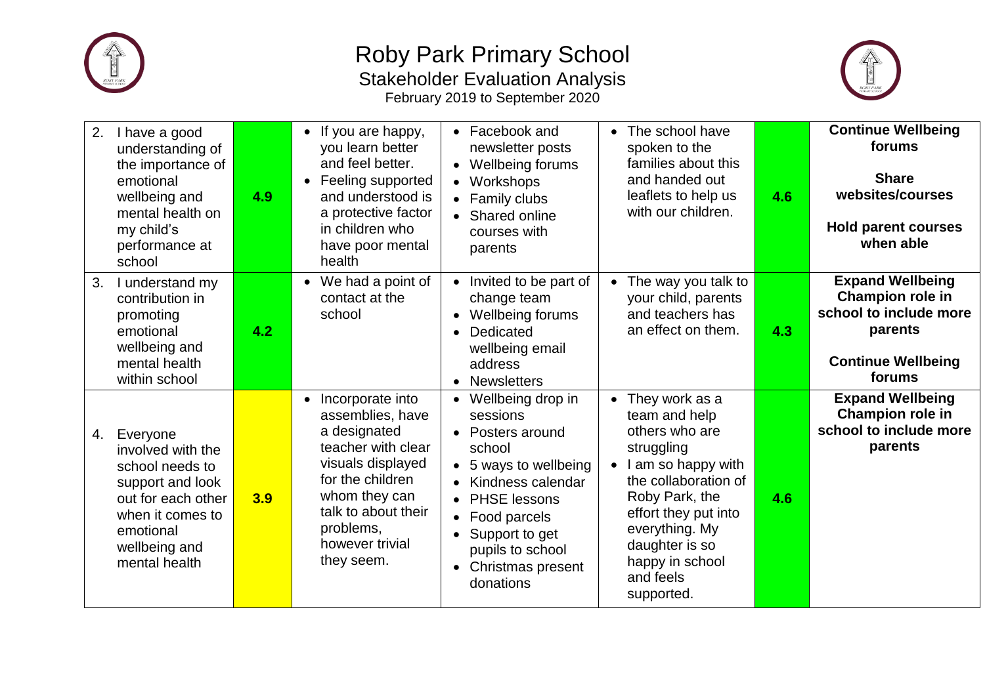



| 2.<br>I have a good<br>understanding of<br>the importance of<br>emotional<br>wellbeing and<br>mental health on<br>my child's<br>performance at<br>school            | 4.9 | If you are happy,<br>$\bullet$<br>you learn better<br>and feel better.<br>• Feeling supported<br>and understood is<br>a protective factor<br>in children who<br>have poor mental<br>health                             | • Facebook and<br>newsletter posts<br>• Wellbeing forums<br>Workshops<br>• Family clubs<br>Shared online<br>courses with<br>parents                                                                                      | The school have<br>$\bullet$<br>spoken to the<br>families about this<br>and handed out<br>leaflets to help us<br>with our children.                                                                                                                      | 4.6 | <b>Continue Wellbeing</b><br>forums<br><b>Share</b><br>websites/courses<br><b>Hold parent courses</b><br>when able      |
|---------------------------------------------------------------------------------------------------------------------------------------------------------------------|-----|------------------------------------------------------------------------------------------------------------------------------------------------------------------------------------------------------------------------|--------------------------------------------------------------------------------------------------------------------------------------------------------------------------------------------------------------------------|----------------------------------------------------------------------------------------------------------------------------------------------------------------------------------------------------------------------------------------------------------|-----|-------------------------------------------------------------------------------------------------------------------------|
| 3.<br>I understand my<br>contribution in<br>promoting<br>emotional<br>wellbeing and<br>mental health<br>within school                                               | 4.2 | • We had a point of<br>contact at the<br>school                                                                                                                                                                        | • Invited to be part of<br>change team<br><b>Wellbeing forums</b><br>$\bullet$<br>Dedicated<br>wellbeing email<br>address<br><b>Newsletters</b>                                                                          | The way you talk to<br>$\bullet$<br>your child, parents<br>and teachers has<br>an effect on them.                                                                                                                                                        | 4.3 | <b>Expand Wellbeing</b><br>Champion role in<br>school to include more<br>parents<br><b>Continue Wellbeing</b><br>forums |
| Everyone<br>4.<br>involved with the<br>school needs to<br>support and look<br>out for each other<br>when it comes to<br>emotional<br>wellbeing and<br>mental health | 3.9 | Incorporate into<br>$\bullet$<br>assemblies, have<br>a designated<br>teacher with clear<br>visuals displayed<br>for the children<br>whom they can<br>talk to about their<br>problems,<br>however trivial<br>they seem. | Wellbeing drop in<br>sessions<br>• Posters around<br>school<br>• 5 ways to wellbeing<br>Kindness calendar<br><b>PHSE lessons</b><br>Food parcels<br>Support to get<br>pupils to school<br>Christmas present<br>donations | • They work as a<br>team and help<br>others who are<br>struggling<br>I am so happy with<br>$\bullet$<br>the collaboration of<br>Roby Park, the<br>effort they put into<br>everything. My<br>daughter is so<br>happy in school<br>and feels<br>supported. | 4.6 | <b>Expand Wellbeing</b><br>Champion role in<br>school to include more<br>parents                                        |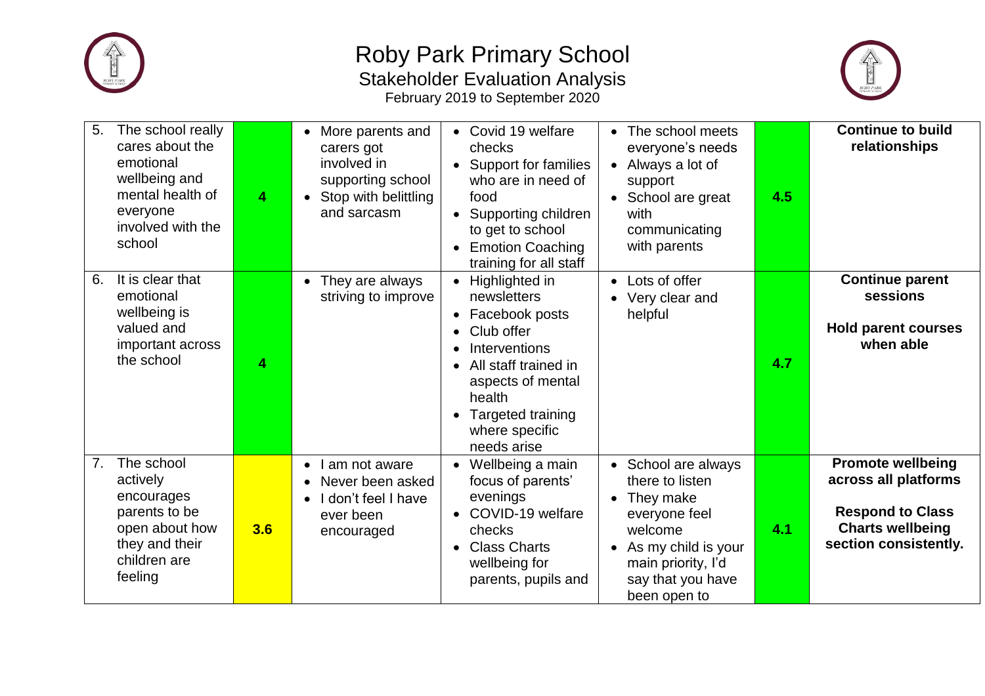



| The school really<br>5.<br>cares about the<br>emotional<br>wellbeing and<br>mental health of<br>everyone<br>involved with the<br>school | 4   | More parents and<br>carers got<br>involved in<br>supporting school<br>• Stop with belittling<br>and sarcasm  | • Covid 19 welfare<br>checks<br>• Support for families<br>who are in need of<br>food<br>• Supporting children<br>to get to school<br><b>Emotion Coaching</b><br>training for all staff                                      | The school meets<br>$\bullet$<br>everyone's needs<br>• Always a lot of<br>support<br>• School are great<br>with<br>communicating<br>with parents                                 | 4.5 | <b>Continue to build</b><br>relationships                                                                                       |
|-----------------------------------------------------------------------------------------------------------------------------------------|-----|--------------------------------------------------------------------------------------------------------------|-----------------------------------------------------------------------------------------------------------------------------------------------------------------------------------------------------------------------------|----------------------------------------------------------------------------------------------------------------------------------------------------------------------------------|-----|---------------------------------------------------------------------------------------------------------------------------------|
| It is clear that<br>6.<br>emotional<br>wellbeing is<br>valued and<br>important across<br>the school                                     | 4   | They are always<br>$\bullet$<br>striving to improve                                                          | • Highlighted in<br>newsletters<br>• Facebook posts<br>Club offer<br>Interventions<br>$\bullet$<br>All staff trained in<br>$\bullet$<br>aspects of mental<br>health<br>• Targeted training<br>where specific<br>needs arise | Lots of offer<br>$\bullet$<br>Very clear and<br>helpful                                                                                                                          | 4.7 | <b>Continue parent</b><br>sessions<br><b>Hold parent courses</b><br>when able                                                   |
| The school<br>7.<br>actively<br>encourages<br>parents to be<br>open about how<br>they and their<br>children are<br>feeling              | 3.6 | am not aware<br>$\bullet$<br>Never been asked<br>I don't feel I have<br>$\bullet$<br>ever been<br>encouraged | • Wellbeing a main<br>focus of parents'<br>evenings<br>• COVID-19 welfare<br>checks<br>• Class Charts<br>wellbeing for<br>parents, pupils and                                                                               | • School are always<br>there to listen<br>They make<br>$\bullet$<br>everyone feel<br>welcome<br>• As my child is your<br>main priority, I'd<br>say that you have<br>been open to | 4.1 | <b>Promote wellbeing</b><br>across all platforms<br><b>Respond to Class</b><br><b>Charts wellbeing</b><br>section consistently. |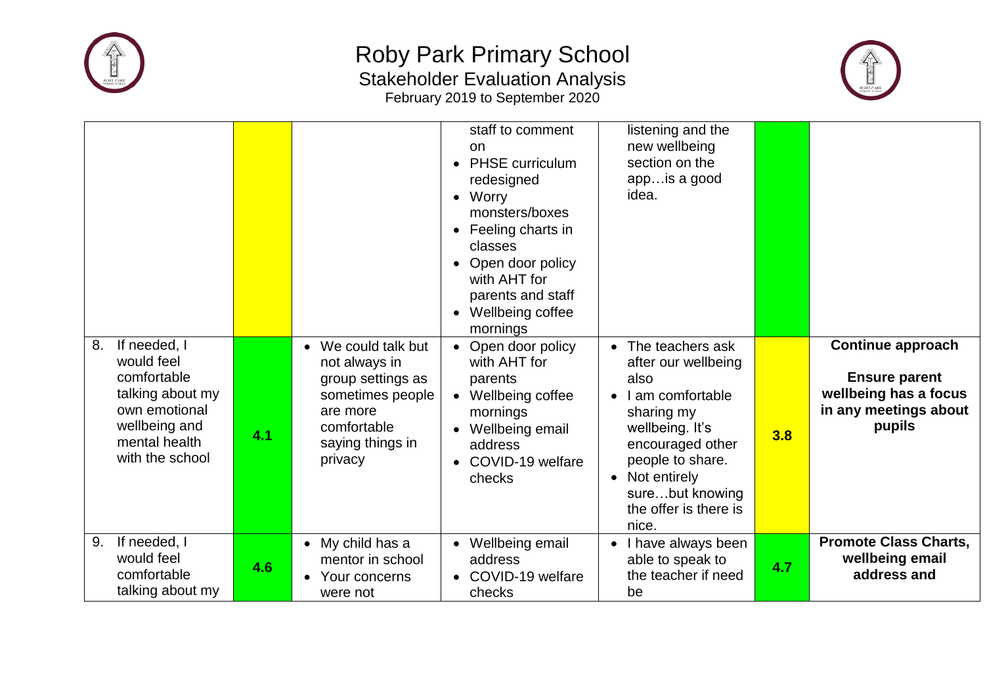



|                                                                                                                                           |     |                                                                                                                                         | staff to comment<br>on<br><b>PHSE</b> curriculum<br>redesigned<br>$\bullet$ Worry<br>monsters/boxes<br>Feeling charts in<br>classes<br>Open door policy<br>with AHT for<br>parents and staff<br>• Wellbeing coffee<br>mornings | listening and the<br>new wellbeing<br>section on the<br>app is a good<br>idea.                                                                                                                                                                |     |                                                                                                              |
|-------------------------------------------------------------------------------------------------------------------------------------------|-----|-----------------------------------------------------------------------------------------------------------------------------------------|--------------------------------------------------------------------------------------------------------------------------------------------------------------------------------------------------------------------------------|-----------------------------------------------------------------------------------------------------------------------------------------------------------------------------------------------------------------------------------------------|-----|--------------------------------------------------------------------------------------------------------------|
| If needed, I<br>8.<br>would feel<br>comfortable<br>talking about my<br>own emotional<br>wellbeing and<br>mental health<br>with the school | 4.1 | • We could talk but<br>not always in<br>group settings as<br>sometimes people<br>are more<br>comfortable<br>saying things in<br>privacy | • Open door policy<br>with AHT for<br>parents<br>• Wellbeing coffee<br>mornings<br>Wellbeing email<br>address<br>• COVID-19 welfare<br>checks                                                                                  | • The teachers ask<br>after our wellbeing<br>also<br>I am comfortable<br>$\bullet$<br>sharing my<br>wellbeing. It's<br>encouraged other<br>people to share.<br>Not entirely<br>$\bullet$<br>surebut knowing<br>the offer is there is<br>nice. | 3.8 | <b>Continue approach</b><br><b>Ensure parent</b><br>wellbeing has a focus<br>in any meetings about<br>pupils |
| If needed, I<br>9.<br>would feel<br>comfortable<br>talking about my                                                                       | 4.6 | • My child has a<br>mentor in school<br>Your concerns<br>$\bullet$<br>were not                                                          | • Wellbeing email<br>address<br>• COVID-19 welfare<br>checks                                                                                                                                                                   | I have always been<br>able to speak to<br>the teacher if need<br>be                                                                                                                                                                           | 4.7 | <b>Promote Class Charts,</b><br>wellbeing email<br>address and                                               |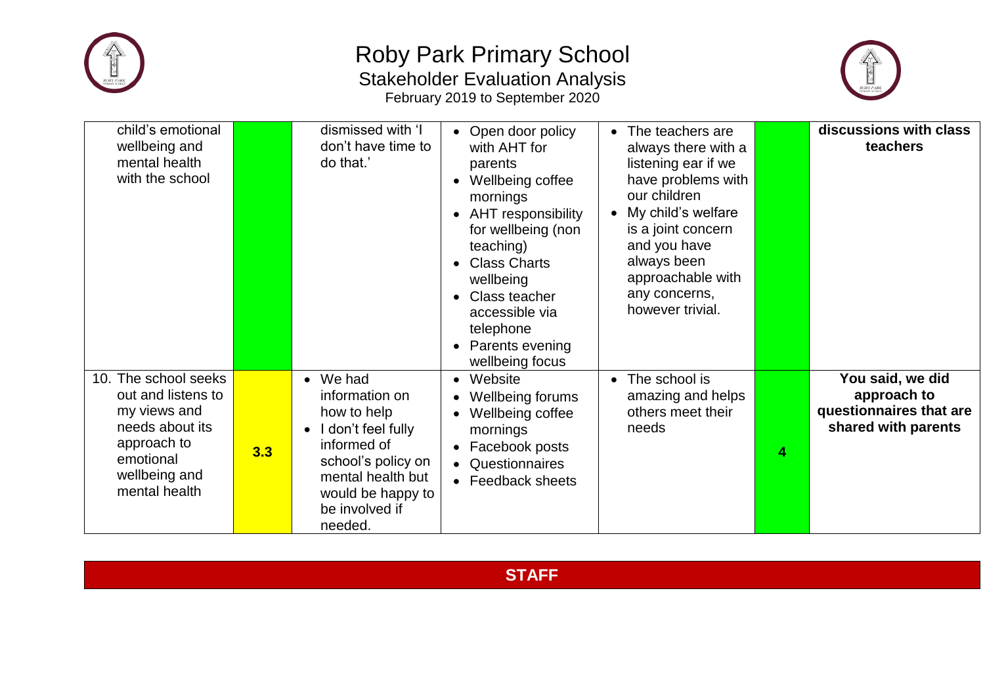



| child's emotional<br>wellbeing and<br>mental health<br>with the school                                                                      |     | dismissed with 'I<br>don't have time to<br>do that.'                                                                                                                                          | Open door policy<br>with AHT for<br>parents<br>Wellbeing coffee<br>mornings<br>• AHT responsibility<br>for wellbeing (non<br>teaching)<br><b>Class Charts</b><br>wellbeing<br>Class teacher<br>accessible via<br>telephone<br><b>Parents evening</b><br>wellbeing focus | The teachers are<br>$\bullet$<br>always there with a<br>listening ear if we<br>have problems with<br>our children<br>• My child's welfare<br>is a joint concern<br>and you have<br>always been<br>approachable with<br>any concerns,<br>however trivial. |   | discussions with class<br>teachers                                                |
|---------------------------------------------------------------------------------------------------------------------------------------------|-----|-----------------------------------------------------------------------------------------------------------------------------------------------------------------------------------------------|-------------------------------------------------------------------------------------------------------------------------------------------------------------------------------------------------------------------------------------------------------------------------|----------------------------------------------------------------------------------------------------------------------------------------------------------------------------------------------------------------------------------------------------------|---|-----------------------------------------------------------------------------------|
| 10. The school seeks<br>out and listens to<br>my views and<br>needs about its<br>approach to<br>emotional<br>wellbeing and<br>mental health | 3.3 | $\bullet$ We had<br>information on<br>how to help<br>$\bullet$ I don't feel fully<br>informed of<br>school's policy on<br>mental health but<br>would be happy to<br>be involved if<br>needed. | Website<br>Wellbeing forums<br>Wellbeing coffee<br>mornings<br>• Facebook posts<br>Questionnaires<br>• Feedback sheets                                                                                                                                                  | The school is<br>$\bullet$<br>amazing and helps<br>others meet their<br>needs                                                                                                                                                                            | 4 | You said, we did<br>approach to<br>questionnaires that are<br>shared with parents |

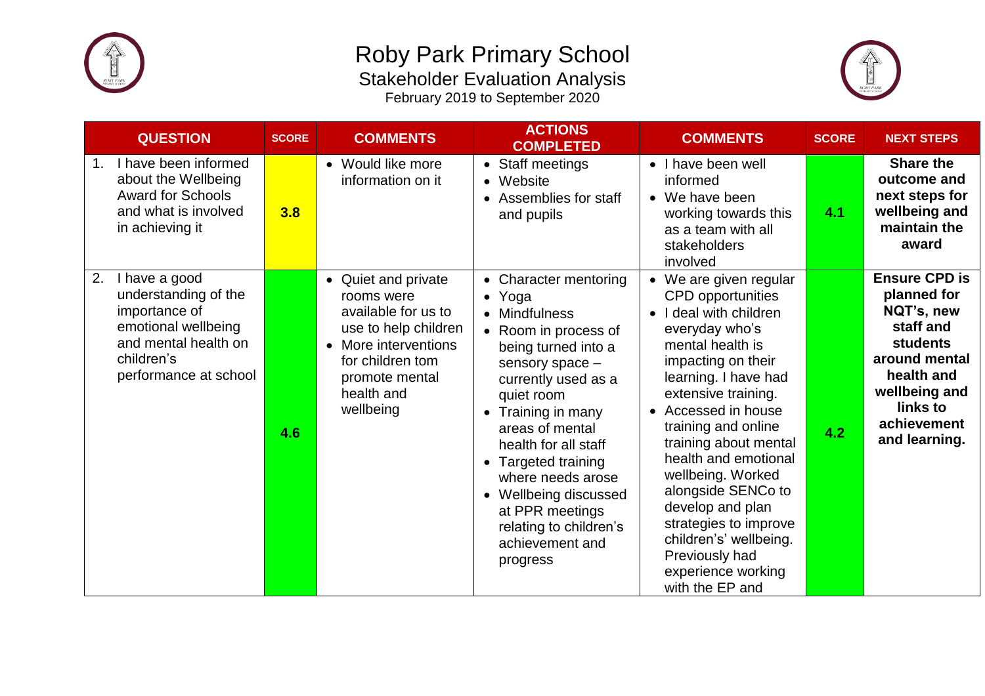



| <b>QUESTION</b>                                                                                                                                    | <b>SCORE</b> | <b>COMMENTS</b>                                                                                                                                                           | <b>ACTIONS</b><br><b>COMPLETED</b>                                                                                                                                                                                                                                                                                                                                                            | <b>COMMENTS</b>                                                                                                                                                                                                                                                                                                                                                                                                                                                                           | <b>SCORE</b> | <b>NEXT STEPS</b>                                                                                                                                                             |
|----------------------------------------------------------------------------------------------------------------------------------------------------|--------------|---------------------------------------------------------------------------------------------------------------------------------------------------------------------------|-----------------------------------------------------------------------------------------------------------------------------------------------------------------------------------------------------------------------------------------------------------------------------------------------------------------------------------------------------------------------------------------------|-------------------------------------------------------------------------------------------------------------------------------------------------------------------------------------------------------------------------------------------------------------------------------------------------------------------------------------------------------------------------------------------------------------------------------------------------------------------------------------------|--------------|-------------------------------------------------------------------------------------------------------------------------------------------------------------------------------|
| I have been informed<br>1.<br>about the Wellbeing<br><b>Award for Schools</b><br>and what is involved<br>in achieving it                           | 3.8          | • Would like more<br>information on it                                                                                                                                    | • Staff meetings<br>• Website<br>Assemblies for staff<br>$\bullet$<br>and pupils                                                                                                                                                                                                                                                                                                              | • I have been well<br>informed<br>We have been<br>$\bullet$<br>working towards this<br>as a team with all<br>stakeholders<br>involved                                                                                                                                                                                                                                                                                                                                                     | 4.1          | <b>Share the</b><br>outcome and<br>next steps for<br>wellbeing and<br>maintain the<br>award                                                                                   |
| 2.<br>I have a good<br>understanding of the<br>importance of<br>emotional wellbeing<br>and mental health on<br>children's<br>performance at school | 4.6          | • Quiet and private<br>rooms were<br>available for us to<br>use to help children<br>• More interventions<br>for children tom<br>promote mental<br>health and<br>wellbeing | • Character mentoring<br>Yoga<br>$\bullet$<br>• Mindfulness<br>• Room in process of<br>being turned into a<br>sensory space -<br>currently used as a<br>quiet room<br>Training in many<br>areas of mental<br>health for all staff<br>• Targeted training<br>where needs arose<br>Wellbeing discussed<br>$\bullet$<br>at PPR meetings<br>relating to children's<br>achievement and<br>progress | • We are given regular<br><b>CPD</b> opportunities<br>I deal with children<br>$\bullet$<br>everyday who's<br>mental health is<br>impacting on their<br>learning. I have had<br>extensive training.<br>Accessed in house<br>$\bullet$<br>training and online<br>training about mental<br>health and emotional<br>wellbeing. Worked<br>alongside SENCo to<br>develop and plan<br>strategies to improve<br>children's' wellbeing.<br>Previously had<br>experience working<br>with the EP and | 4.2          | <b>Ensure CPD is</b><br>planned for<br>NQT's, new<br>staff and<br><b>students</b><br>around mental<br>health and<br>wellbeing and<br>links to<br>achievement<br>and learning. |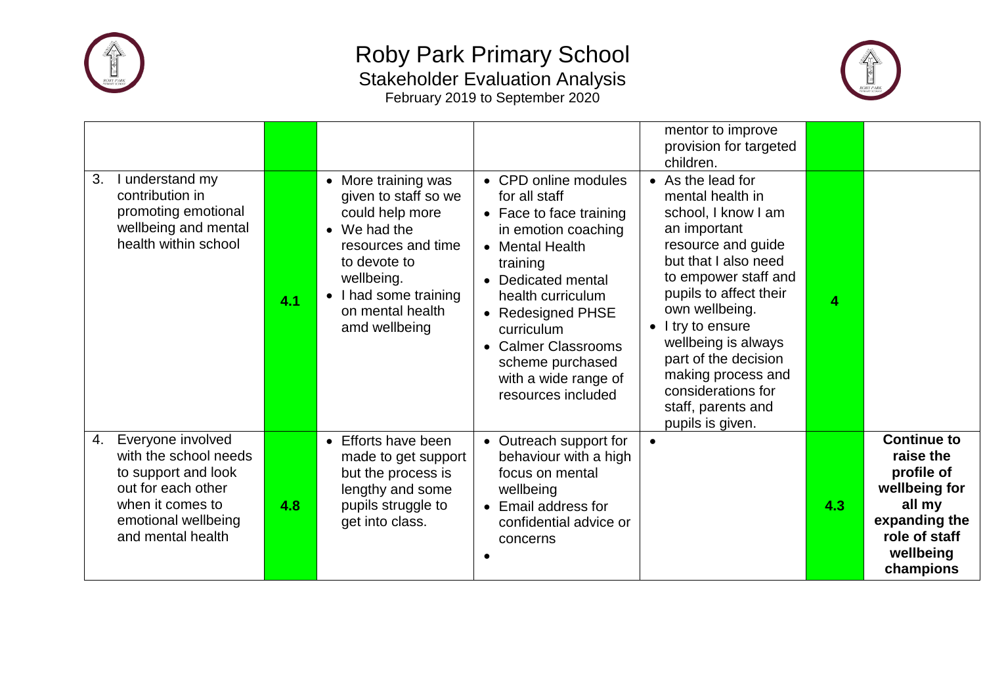



| 3.<br>I understand my<br>contribution in<br>promoting emotional<br>wellbeing and mental<br>health within school                                               | 4.1 | • More training was<br>given to staff so we<br>could help more<br>$\bullet$ We had the<br>resources and time<br>to devote to<br>wellbeing.<br>I had some training<br>$\bullet$<br>on mental health<br>amd wellbeing | • CPD online modules<br>for all staff<br>• Face to face training<br>in emotion coaching<br>• Mental Health<br>training<br>Dedicated mental<br>health curriculum<br>• Redesigned PHSE<br>curriculum<br><b>Calmer Classrooms</b><br>scheme purchased<br>with a wide range of<br>resources included | mentor to improve<br>provision for targeted<br>children.<br>• As the lead for<br>mental health in<br>school, I know I am<br>an important<br>resource and guide<br>but that I also need<br>to empower staff and<br>pupils to affect their<br>own wellbeing.<br>I try to ensure<br>$\bullet$<br>wellbeing is always<br>part of the decision<br>making process and<br>considerations for<br>staff, parents and<br>pupils is given. | 4   |                                                                                                                                      |
|---------------------------------------------------------------------------------------------------------------------------------------------------------------|-----|---------------------------------------------------------------------------------------------------------------------------------------------------------------------------------------------------------------------|--------------------------------------------------------------------------------------------------------------------------------------------------------------------------------------------------------------------------------------------------------------------------------------------------|---------------------------------------------------------------------------------------------------------------------------------------------------------------------------------------------------------------------------------------------------------------------------------------------------------------------------------------------------------------------------------------------------------------------------------|-----|--------------------------------------------------------------------------------------------------------------------------------------|
| Everyone involved<br>4.<br>with the school needs<br>to support and look<br>out for each other<br>when it comes to<br>emotional wellbeing<br>and mental health | 4.8 | • Efforts have been<br>made to get support<br>but the process is<br>lengthy and some<br>pupils struggle to<br>get into class.                                                                                       | • Outreach support for<br>behaviour with a high<br>focus on mental<br>wellbeing<br>Email address for<br>confidential advice or<br>concerns                                                                                                                                                       | $\bullet$                                                                                                                                                                                                                                                                                                                                                                                                                       | 4.3 | <b>Continue to</b><br>raise the<br>profile of<br>wellbeing for<br>all my<br>expanding the<br>role of staff<br>wellbeing<br>champions |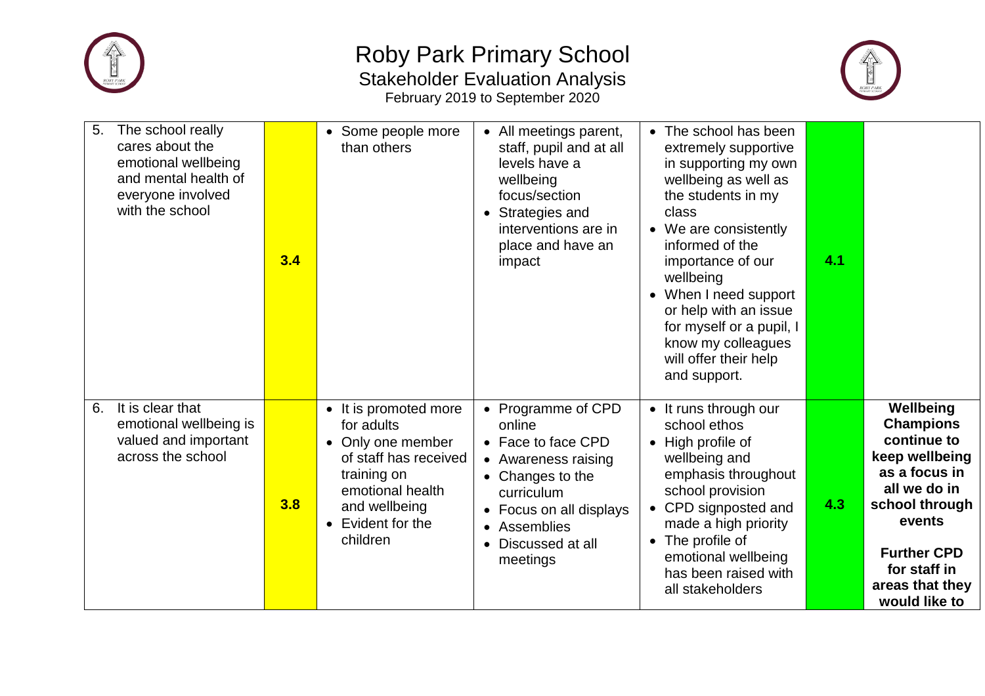



| 5.<br>The school really<br>cares about the<br>emotional wellbeing<br>and mental health of<br>everyone involved<br>with the school | 3.4 | • Some people more<br>than others                                                                                                                                      | • All meetings parent,<br>staff, pupil and at all<br>levels have a<br>wellbeing<br>focus/section<br>Strategies and<br>$\bullet$<br>interventions are in<br>place and have an<br>impact                                             | • The school has been<br>extremely supportive<br>in supporting my own<br>wellbeing as well as<br>the students in my<br>class<br>We are consistently<br>informed of the<br>importance of our<br>wellbeing<br>When I need support<br>or help with an issue<br>for myself or a pupil, I<br>know my colleagues<br>will offer their help<br>and support. | 4.1 |                                                                                                                                                                                                       |
|-----------------------------------------------------------------------------------------------------------------------------------|-----|------------------------------------------------------------------------------------------------------------------------------------------------------------------------|------------------------------------------------------------------------------------------------------------------------------------------------------------------------------------------------------------------------------------|-----------------------------------------------------------------------------------------------------------------------------------------------------------------------------------------------------------------------------------------------------------------------------------------------------------------------------------------------------|-----|-------------------------------------------------------------------------------------------------------------------------------------------------------------------------------------------------------|
| It is clear that<br>6.<br>emotional wellbeing is<br>valued and important<br>across the school                                     | 3.8 | • It is promoted more<br>for adults<br>• Only one member<br>of staff has received<br>training on<br>emotional health<br>and wellbeing<br>• Evident for the<br>children | Programme of CPD<br>$\bullet$<br>online<br>• Face to face CPD<br>• Awareness raising<br>Changes to the<br>$\bullet$<br>curriculum<br>Focus on all displays<br>$\bullet$<br>Assemblies<br>Discussed at all<br>$\bullet$<br>meetings | • It runs through our<br>school ethos<br>High profile of<br>$\bullet$<br>wellbeing and<br>emphasis throughout<br>school provision<br>CPD signposted and<br>made a high priority<br>The profile of<br>$\bullet$<br>emotional wellbeing<br>has been raised with<br>all stakeholders                                                                   | 4.3 | Wellbeing<br><b>Champions</b><br>continue to<br>keep wellbeing<br>as a focus in<br>all we do in<br>school through<br>events<br><b>Further CPD</b><br>for staff in<br>areas that they<br>would like to |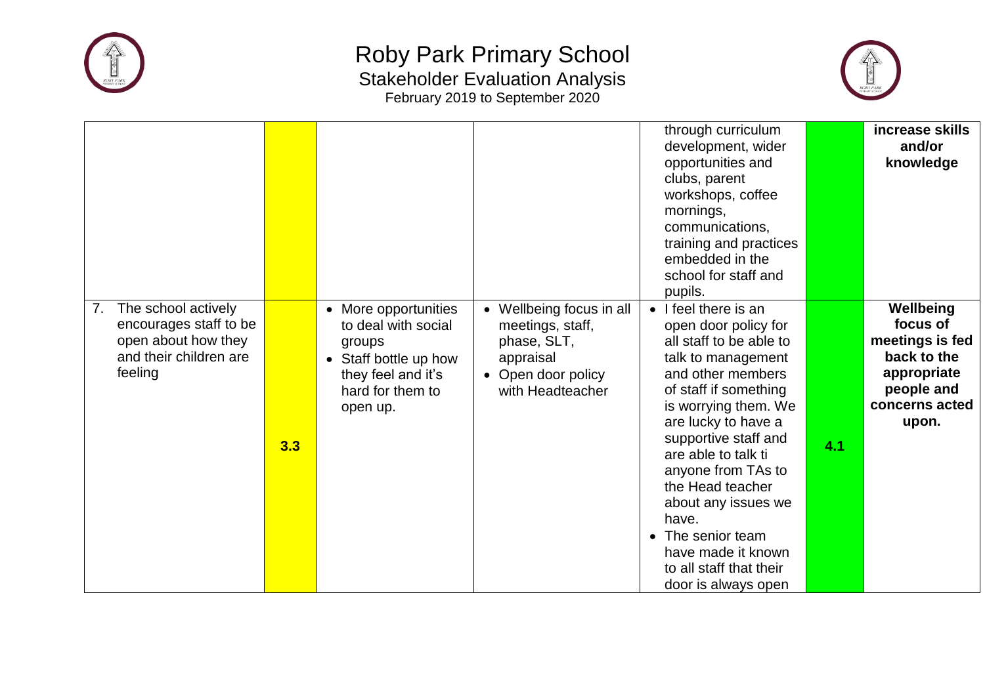



|                                                                                                                 |     |                                                                                                                                      |                                                                                                                  | through curriculum<br>development, wider<br>opportunities and<br>clubs, parent<br>workshops, coffee<br>mornings,<br>communications,<br>training and practices<br>embedded in the<br>school for staff and<br>pupils.                                                                                                                                                                                                                    |     | increase skills<br>and/or<br>knowledge                                                                          |
|-----------------------------------------------------------------------------------------------------------------|-----|--------------------------------------------------------------------------------------------------------------------------------------|------------------------------------------------------------------------------------------------------------------|----------------------------------------------------------------------------------------------------------------------------------------------------------------------------------------------------------------------------------------------------------------------------------------------------------------------------------------------------------------------------------------------------------------------------------------|-----|-----------------------------------------------------------------------------------------------------------------|
| The school actively<br>7.<br>encourages staff to be<br>open about how they<br>and their children are<br>feeling | 3.3 | • More opportunities<br>to deal with social<br>groups<br>• Staff bottle up how<br>they feel and it's<br>hard for them to<br>open up. | Wellbeing focus in all<br>meetings, staff,<br>phase, SLT,<br>appraisal<br>• Open door policy<br>with Headteacher | I feel there is an<br>$\bullet$<br>open door policy for<br>all staff to be able to<br>talk to management<br>and other members<br>of staff if something<br>is worrying them. We<br>are lucky to have a<br>supportive staff and<br>are able to talk ti<br>anyone from TAs to<br>the Head teacher<br>about any issues we<br>have.<br>The senior team<br>$\bullet$<br>have made it known<br>to all staff that their<br>door is always open | 4.1 | Wellbeing<br>focus of<br>meetings is fed<br>back to the<br>appropriate<br>people and<br>concerns acted<br>upon. |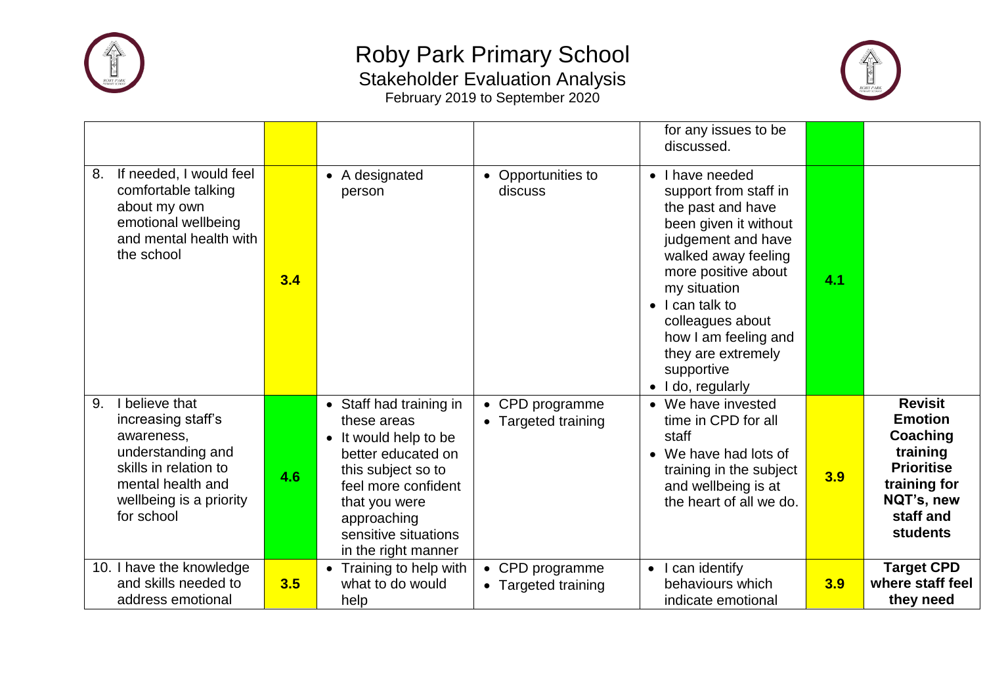



|                                                                                                                                                                      |     |                                                                                                                                                                                                                   |                                                 | for any issues to be<br>discussed.                                                                                                                                                                                                                                                                                     |     |                                                                                                                                             |
|----------------------------------------------------------------------------------------------------------------------------------------------------------------------|-----|-------------------------------------------------------------------------------------------------------------------------------------------------------------------------------------------------------------------|-------------------------------------------------|------------------------------------------------------------------------------------------------------------------------------------------------------------------------------------------------------------------------------------------------------------------------------------------------------------------------|-----|---------------------------------------------------------------------------------------------------------------------------------------------|
| If needed, I would feel<br>8.<br>comfortable talking<br>about my own<br>emotional wellbeing<br>and mental health with<br>the school                                  | 3.4 | • A designated<br>person                                                                                                                                                                                          | Opportunities to<br>$\bullet$<br>discuss        | I have needed<br>$\bullet$<br>support from staff in<br>the past and have<br>been given it without<br>judgement and have<br>walked away feeling<br>more positive about<br>my situation<br>I can talk to<br>colleagues about<br>how I am feeling and<br>they are extremely<br>supportive<br>I do, regularly<br>$\bullet$ | 4.1 |                                                                                                                                             |
| I believe that<br>9.<br>increasing staff's<br>awareness,<br>understanding and<br>skills in relation to<br>mental health and<br>wellbeing is a priority<br>for school | 4.6 | • Staff had training in<br>these areas<br>• It would help to be<br>better educated on<br>this subject so to<br>feel more confident<br>that you were<br>approaching<br>sensitive situations<br>in the right manner | CPD programme<br>Targeted training              | • We have invested<br>time in CPD for all<br>staff<br>• We have had lots of<br>training in the subject<br>and wellbeing is at<br>the heart of all we do.                                                                                                                                                               | 3.9 | <b>Revisit</b><br><b>Emotion</b><br>Coaching<br>training<br><b>Prioritise</b><br>training for<br>NQT's, new<br>staff and<br><b>students</b> |
| 10. I have the knowledge<br>and skills needed to<br>address emotional                                                                                                | 3.5 | • Training to help with<br>what to do would<br>help                                                                                                                                                               | CPD programme<br>$\bullet$<br>Targeted training | can identify<br>$\bullet$<br>behaviours which<br>indicate emotional                                                                                                                                                                                                                                                    | 3.9 | <b>Target CPD</b><br>where staff feel<br>they need                                                                                          |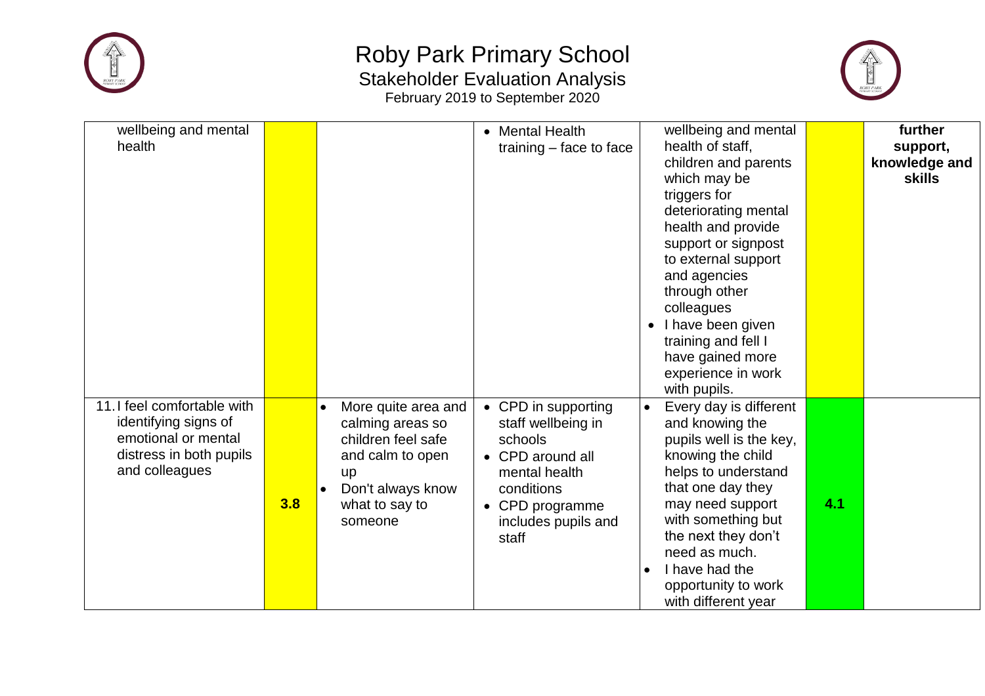



| wellbeing and mental        |     |                                  | <b>Mental Health</b><br>$\bullet$ | wellbeing and mental    |     | further       |
|-----------------------------|-----|----------------------------------|-----------------------------------|-------------------------|-----|---------------|
| health                      |     |                                  | training $-$ face to face         | health of staff,        |     | support,      |
|                             |     |                                  |                                   | children and parents    |     | knowledge and |
|                             |     |                                  |                                   | which may be            |     | <b>skills</b> |
|                             |     |                                  |                                   | triggers for            |     |               |
|                             |     |                                  |                                   | deteriorating mental    |     |               |
|                             |     |                                  |                                   | health and provide      |     |               |
|                             |     |                                  |                                   | support or signpost     |     |               |
|                             |     |                                  |                                   | to external support     |     |               |
|                             |     |                                  |                                   | and agencies            |     |               |
|                             |     |                                  |                                   | through other           |     |               |
|                             |     |                                  |                                   | colleagues              |     |               |
|                             |     |                                  |                                   | I have been given       |     |               |
|                             |     |                                  |                                   | training and fell I     |     |               |
|                             |     |                                  |                                   | have gained more        |     |               |
|                             |     |                                  |                                   | experience in work      |     |               |
|                             |     |                                  |                                   | with pupils.            |     |               |
| 11. I feel comfortable with |     | More quite area and<br>$\bullet$ | • CPD in supporting               | Every day is different  |     |               |
| identifying signs of        |     | calming areas so                 | staff wellbeing in                | and knowing the         |     |               |
| emotional or mental         |     | children feel safe               | schools                           | pupils well is the key, |     |               |
| distress in both pupils     |     | and calm to open                 | • CPD around all                  | knowing the child       |     |               |
| and colleagues              |     | <b>up</b>                        | mental health                     | helps to understand     |     |               |
|                             |     | Don't always know<br>$\bullet$   | conditions                        | that one day they       |     |               |
|                             | 3.8 | what to say to                   | CPD programme<br>$\bullet$        | may need support        | 4.1 |               |
|                             |     | someone                          | includes pupils and               | with something but      |     |               |
|                             |     |                                  | staff                             | the next they don't     |     |               |
|                             |     |                                  |                                   | need as much.           |     |               |
|                             |     |                                  |                                   | I have had the          |     |               |
|                             |     |                                  |                                   | opportunity to work     |     |               |
|                             |     |                                  |                                   | with different year     |     |               |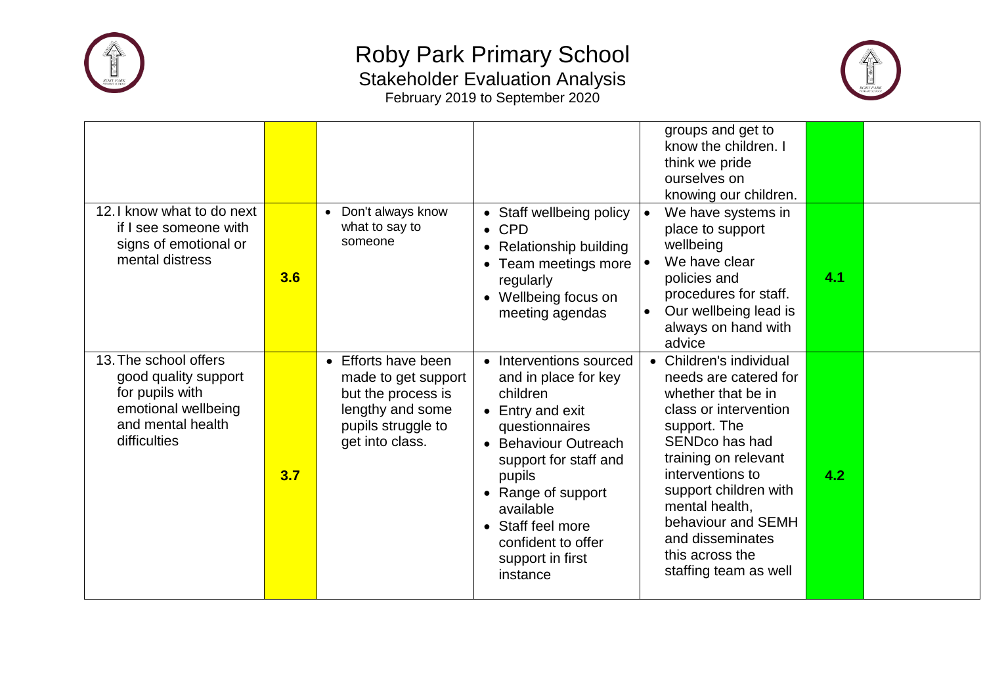



| 12. I know what to do next                                                                                                   |     | • Don't always know                                                                                                           | • Staff wellbeing policy                                                                                                                                                                                                                                                   | groups and get to<br>know the children. I<br>think we pride<br>ourselves on<br>knowing our children.<br>We have systems in                                                                                                                                                                                                 |     |  |
|------------------------------------------------------------------------------------------------------------------------------|-----|-------------------------------------------------------------------------------------------------------------------------------|----------------------------------------------------------------------------------------------------------------------------------------------------------------------------------------------------------------------------------------------------------------------------|----------------------------------------------------------------------------------------------------------------------------------------------------------------------------------------------------------------------------------------------------------------------------------------------------------------------------|-----|--|
| if I see someone with<br>signs of emotional or<br>mental distress                                                            | 3.6 | what to say to<br>someone                                                                                                     | $\bullet$ CPD<br><b>Relationship building</b><br>$\bullet$<br>Team meetings more<br>regularly<br>Wellbeing focus on<br>meeting agendas                                                                                                                                     | place to support<br>wellbeing<br>We have clear<br>policies and<br>procedures for staff.<br>Our wellbeing lead is<br>always on hand with<br>advice                                                                                                                                                                          | 4.1 |  |
| 13. The school offers<br>good quality support<br>for pupils with<br>emotional wellbeing<br>and mental health<br>difficulties | 3.7 | • Efforts have been<br>made to get support<br>but the process is<br>lengthy and some<br>pupils struggle to<br>get into class. | • Interventions sourced<br>and in place for key<br>children<br>• Entry and exit<br>questionnaires<br>• Behaviour Outreach<br>support for staff and<br>pupils<br>• Range of support<br>available<br>• Staff feel more<br>confident to offer<br>support in first<br>instance | • Children's individual<br>needs are catered for<br>whether that be in<br>class or intervention<br>support. The<br>SEND <sub>co</sub> has had<br>training on relevant<br>interventions to<br>support children with<br>mental health,<br>behaviour and SEMH<br>and disseminates<br>this across the<br>staffing team as well | 4.2 |  |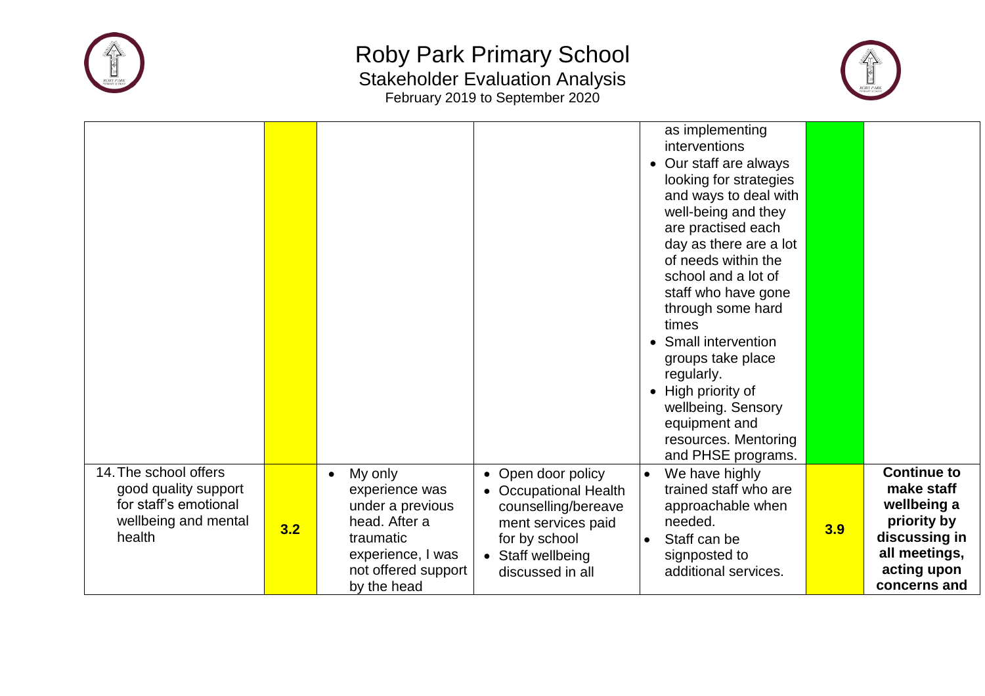



|                                                                                                          |     |                                                                                                                                        |                                                                                                                                                    |                        | as implementing<br>interventions<br>• Our staff are always<br>looking for strategies<br>and ways to deal with<br>well-being and they<br>are practised each<br>day as there are a lot<br>of needs within the<br>school and a lot of<br>staff who have gone<br>through some hard<br>times<br>• Small intervention<br>groups take place<br>regularly.<br>• High priority of<br>wellbeing. Sensory<br>equipment and<br>resources. Mentoring<br>and PHSE programs. |     |                                                                                                                                 |
|----------------------------------------------------------------------------------------------------------|-----|----------------------------------------------------------------------------------------------------------------------------------------|----------------------------------------------------------------------------------------------------------------------------------------------------|------------------------|---------------------------------------------------------------------------------------------------------------------------------------------------------------------------------------------------------------------------------------------------------------------------------------------------------------------------------------------------------------------------------------------------------------------------------------------------------------|-----|---------------------------------------------------------------------------------------------------------------------------------|
| 14. The school offers<br>good quality support<br>for staff's emotional<br>wellbeing and mental<br>health | 3.2 | My only<br>experience was<br>under a previous<br>head. After a<br>traumatic<br>experience, I was<br>not offered support<br>by the head | • Open door policy<br>• Occupational Health<br>counselling/bereave<br>ment services paid<br>for by school<br>• Staff wellbeing<br>discussed in all | $\bullet$<br>$\bullet$ | We have highly<br>trained staff who are<br>approachable when<br>needed.<br>Staff can be<br>signposted to<br>additional services.                                                                                                                                                                                                                                                                                                                              | 3.9 | <b>Continue to</b><br>make staff<br>wellbeing a<br>priority by<br>discussing in<br>all meetings,<br>acting upon<br>concerns and |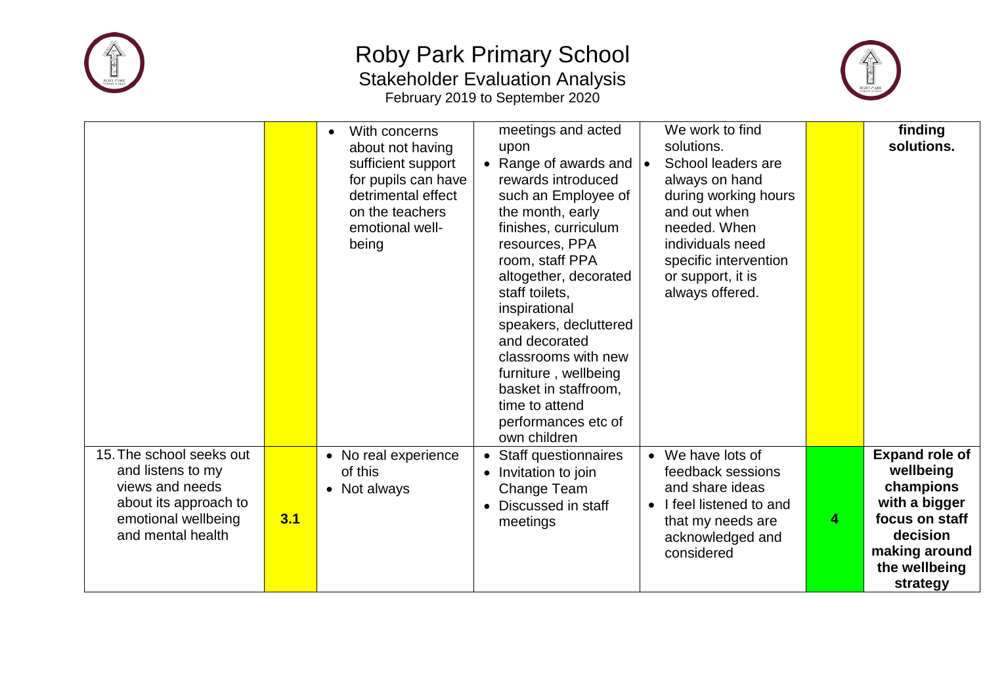



|                                                                                                                                       |     | With concerns<br>$\bullet$<br>about not having<br>sufficient support<br>for pupils can have<br>detrimental effect<br>on the teachers<br>emotional well-<br>being | meetings and acted<br>upon<br>Range of awards and<br>rewards introduced<br>such an Employee of<br>the month, early<br>finishes, curriculum<br>resources, PPA<br>room, staff PPA<br>altogether, decorated<br>staff toilets.<br>inspirational<br>speakers, decluttered<br>and decorated<br>classrooms with new<br>furniture, wellbeing<br>basket in staffroom.<br>time to attend<br>performances etc of<br>own children | We work to find<br>solutions.<br>School leaders are<br>$\bullet$<br>always on hand<br>during working hours<br>and out when<br>needed. When<br>individuals need<br>specific intervention<br>or support, it is<br>always offered. |   | finding<br>solutions.                                                                                                                        |
|---------------------------------------------------------------------------------------------------------------------------------------|-----|------------------------------------------------------------------------------------------------------------------------------------------------------------------|-----------------------------------------------------------------------------------------------------------------------------------------------------------------------------------------------------------------------------------------------------------------------------------------------------------------------------------------------------------------------------------------------------------------------|---------------------------------------------------------------------------------------------------------------------------------------------------------------------------------------------------------------------------------|---|----------------------------------------------------------------------------------------------------------------------------------------------|
| 15. The school seeks out<br>and listens to my<br>views and needs<br>about its approach to<br>emotional wellbeing<br>and mental health | 3.1 | • No real experience<br>of this<br>• Not always                                                                                                                  | Staff questionnaires<br>Invitation to join<br>$\bullet$<br>Change Team<br>Discussed in staff<br>meetings                                                                                                                                                                                                                                                                                                              | We have lots of<br>$\bullet$<br>feedback sessions<br>and share ideas<br>I feel listened to and<br>$\bullet$<br>that my needs are<br>acknowledged and<br>considered                                                              | 4 | <b>Expand role of</b><br>wellbeing<br>champions<br>with a bigger<br>focus on staff<br>decision<br>making around<br>the wellbeing<br>strategy |